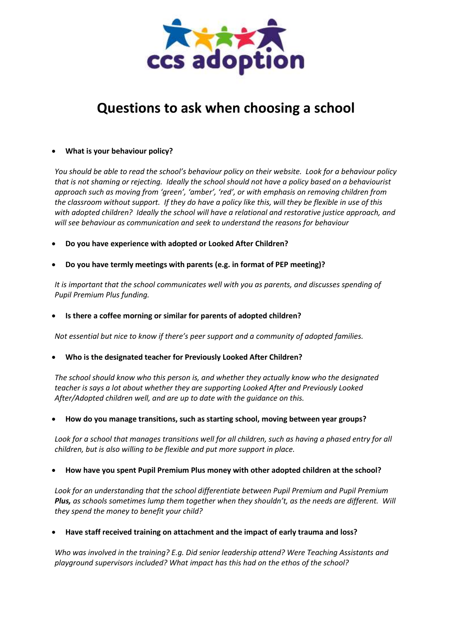

## **Questions to ask when choosing a school**

## **What is your behaviour policy?**

*You should be able to read the school's behaviour policy on their website. Look for a behaviour policy that is not shaming or rejecting. Ideally the school should not have a policy based on a behaviourist approach such as moving from 'green', 'amber', 'red', or with emphasis on removing children from the classroom without support. If they do have a policy like this, will they be flexible in use of this with adopted children? Ideally the school will have a relational and restorative justice approach, and will see behaviour as communication and seek to understand the reasons for behaviour*

- **Do you have experience with adopted or Looked After Children?**
- **Do you have termly meetings with parents (e.g. in format of PEP meeting)?**

*It is important that the school communicates well with you as parents, and discusses spending of Pupil Premium Plus funding.*

**Is there a coffee morning or similar for parents of adopted children?** 

*Not essential but nice to know if there's peer support and a community of adopted families.*

**Who is the designated teacher for Previously Looked After Children?** 

*The school should know who this person is, and whether they actually know who the designated teacher is says a lot about whether they are supporting Looked After and Previously Looked After/Adopted children well, and are up to date with the guidance on this.*

**How do you manage transitions, such as starting school, moving between year groups?** 

*Look for a school that manages transitions well for all children, such as having a phased entry for all children, but is also willing to be flexible and put more support in place.*

## **How have you spent Pupil Premium Plus money with other adopted children at the school?**

*Look for an understanding that the school differentiate between Pupil Premium and Pupil Premium Plus, as schools sometimes lump them together when they shouldn't, as the needs are different. Will they spend the money to benefit your child?*

**Have staff received training on attachment and the impact of early trauma and loss?** 

*Who was involved in the training? E.g. Did senior leadership attend? Were Teaching Assistants and playground supervisors included? What impact has this had on the ethos of the school?*